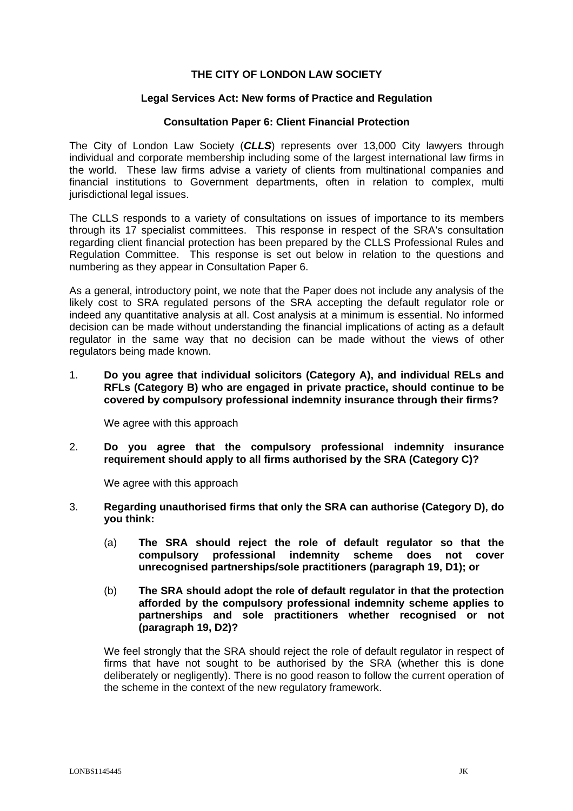# **THE CITY OF LONDON LAW SOCIETY**

#### **Legal Services Act: New forms of Practice and Regulation**

#### **Consultation Paper 6: Client Financial Protection**

The City of London Law Society (*CLLS*) represents over 13,000 City lawyers through individual and corporate membership including some of the largest international law firms in the world. These law firms advise a variety of clients from multinational companies and financial institutions to Government departments, often in relation to complex, multi jurisdictional legal issues.

The CLLS responds to a variety of consultations on issues of importance to its members through its 17 specialist committees. This response in respect of the SRA's consultation regarding client financial protection has been prepared by the CLLS Professional Rules and Regulation Committee. This response is set out below in relation to the questions and numbering as they appear in Consultation Paper 6.

As a general, introductory point, we note that the Paper does not include any analysis of the likely cost to SRA regulated persons of the SRA accepting the default regulator role or indeed any quantitative analysis at all. Cost analysis at a minimum is essential. No informed decision can be made without understanding the financial implications of acting as a default regulator in the same way that no decision can be made without the views of other regulators being made known.

1. **Do you agree that individual solicitors (Category A), and individual RELs and RFLs (Category B) who are engaged in private practice, should continue to be covered by compulsory professional indemnity insurance through their firms?** 

We agree with this approach

2. **Do you agree that the compulsory professional indemnity insurance requirement should apply to all firms authorised by the SRA (Category C)?** 

We agree with this approach

- 3. **Regarding unauthorised firms that only the SRA can authorise (Category D), do you think:**
	- (a) **The SRA should reject the role of default regulator so that the compulsory professional indemnity scheme does not cover unrecognised partnerships/sole practitioners (paragraph 19, D1); or**
	- (b) **The SRA should adopt the role of default regulator in that the protection afforded by the compulsory professional indemnity scheme applies to partnerships and sole practitioners whether recognised or not (paragraph 19, D2)?**

We feel strongly that the SRA should reject the role of default regulator in respect of firms that have not sought to be authorised by the SRA (whether this is done deliberately or negligently). There is no good reason to follow the current operation of the scheme in the context of the new regulatory framework.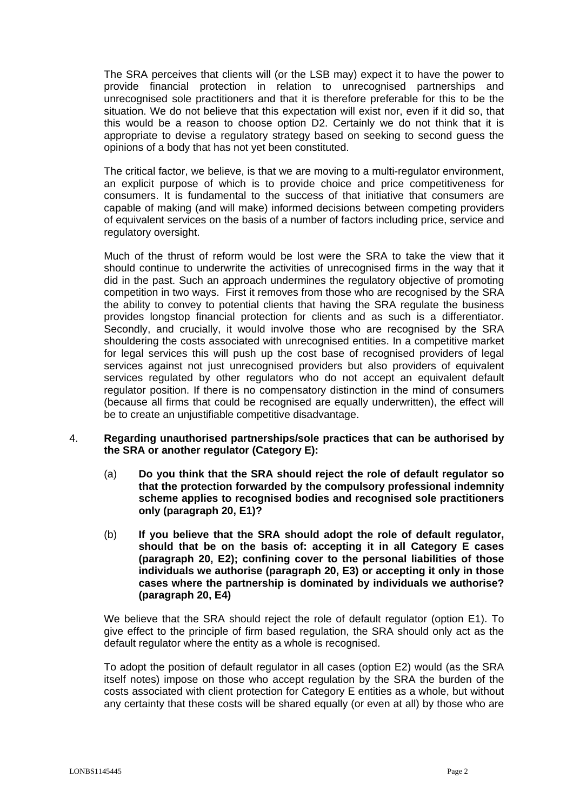The SRA perceives that clients will (or the LSB may) expect it to have the power to provide financial protection in relation to unrecognised partnerships and unrecognised sole practitioners and that it is therefore preferable for this to be the situation. We do not believe that this expectation will exist nor, even if it did so, that this would be a reason to choose option D2. Certainly we do not think that it is appropriate to devise a regulatory strategy based on seeking to second guess the opinions of a body that has not yet been constituted.

The critical factor, we believe, is that we are moving to a multi-regulator environment, an explicit purpose of which is to provide choice and price competitiveness for consumers. It is fundamental to the success of that initiative that consumers are capable of making (and will make) informed decisions between competing providers of equivalent services on the basis of a number of factors including price, service and regulatory oversight.

Much of the thrust of reform would be lost were the SRA to take the view that it should continue to underwrite the activities of unrecognised firms in the way that it did in the past. Such an approach undermines the regulatory objective of promoting competition in two ways. First it removes from those who are recognised by the SRA the ability to convey to potential clients that having the SRA regulate the business provides longstop financial protection for clients and as such is a differentiator. Secondly, and crucially, it would involve those who are recognised by the SRA shouldering the costs associated with unrecognised entities. In a competitive market for legal services this will push up the cost base of recognised providers of legal services against not just unrecognised providers but also providers of equivalent services regulated by other regulators who do not accept an equivalent default regulator position. If there is no compensatory distinction in the mind of consumers (because all firms that could be recognised are equally underwritten), the effect will be to create an unjustifiable competitive disadvantage.

#### 4. **Regarding unauthorised partnerships/sole practices that can be authorised by the SRA or another regulator (Category E):**

- (a) **Do you think that the SRA should reject the role of default regulator so that the protection forwarded by the compulsory professional indemnity scheme applies to recognised bodies and recognised sole practitioners only (paragraph 20, E1)?**
- (b) **If you believe that the SRA should adopt the role of default regulator, should that be on the basis of: accepting it in all Category E cases (paragraph 20, E2); confining cover to the personal liabilities of those individuals we authorise (paragraph 20, E3) or accepting it only in those cases where the partnership is dominated by individuals we authorise? (paragraph 20, E4)**

We believe that the SRA should reject the role of default regulator (option E1). To give effect to the principle of firm based regulation, the SRA should only act as the default regulator where the entity as a whole is recognised.

To adopt the position of default regulator in all cases (option E2) would (as the SRA itself notes) impose on those who accept regulation by the SRA the burden of the costs associated with client protection for Category E entities as a whole, but without any certainty that these costs will be shared equally (or even at all) by those who are